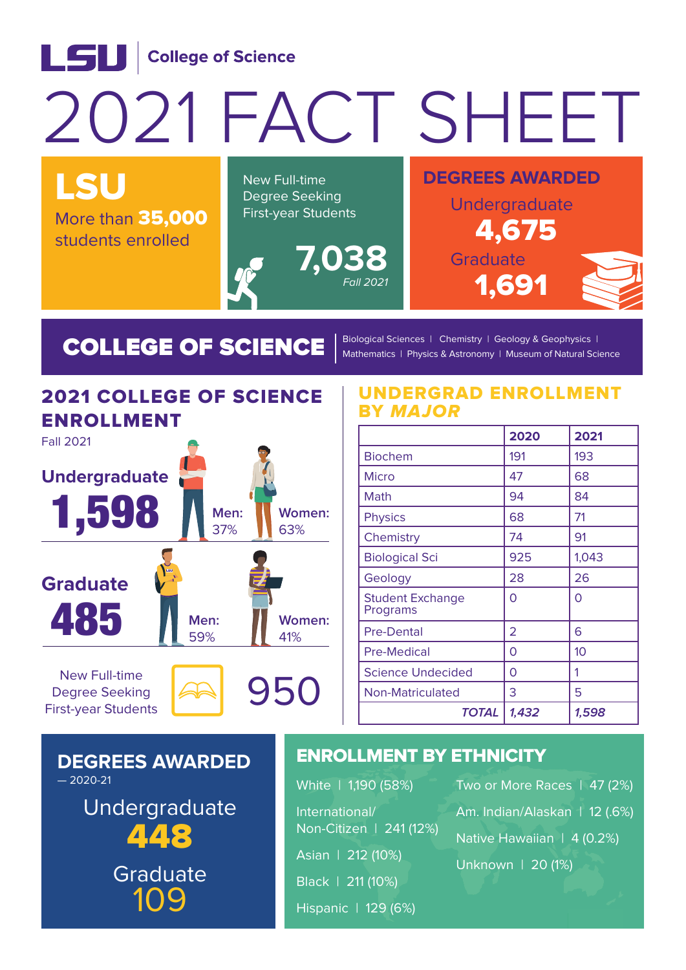#### LSU College of Science 2021 FACT SHEET LSU **DEGREES AWARDED** New Full-time Degree Seeking Undergraduate First-year Students More than 35,000 4,675 students enrolled **7,038** Graduate Fall 2021 1,691

COLLEGE OF SCIENCE  $\int_0^B$ Biological Sciences | Chemistry | Geology & Geophysics | Mathematics | Physics & Astronomy | Museum of Natural Science

## 2021 COLLEGE OF SCIENCE ENROLLMENT



Degree Seeking First-year Students



#### UNDERGRAD ENROLLMENT BY MAJOR

|                                     | 2020  | 2021  |
|-------------------------------------|-------|-------|
| <b>Biochem</b>                      | 191   | 193   |
| <b>Micro</b>                        | 47    | 68    |
| Math                                | 94    | 84    |
| <b>Physics</b>                      | 68    | 71    |
| Chemistry                           | 74    | 91    |
| <b>Biological Sci</b>               | 925   | 1,043 |
| Geology                             | 28    | 26    |
| <b>Student Exchange</b><br>Programs | 0     | 0     |
| Pre-Dental                          | 2     | 6     |
| <b>Pre-Medical</b>                  | 0     | 10    |
| <b>Science Undecided</b>            | Ω     | 1     |
| <b>Non-Matriculated</b>             | 3     | 5     |
| <b>TOTAL</b>                        | 1,432 | 1,598 |

#### **DEGREES AWARDED**  $-2020-21$

Undergraduate 448 109 Graduate

### ENROLLMENT BY ETHNICITY

| White   1,190 (58%)     | Two or More Races   47 (2%)   |  |
|-------------------------|-------------------------------|--|
| International/          | Am. Indian/Alaskan   12 (.6%) |  |
| Non-Citizen   241 (12%) | Native Hawaiian   4 (0.2%)    |  |
| Asian   212 (10%)       | Unknown   20 (1%)             |  |
| Black   211 (10%)       |                               |  |
| Hispanic   129 (6%)     |                               |  |